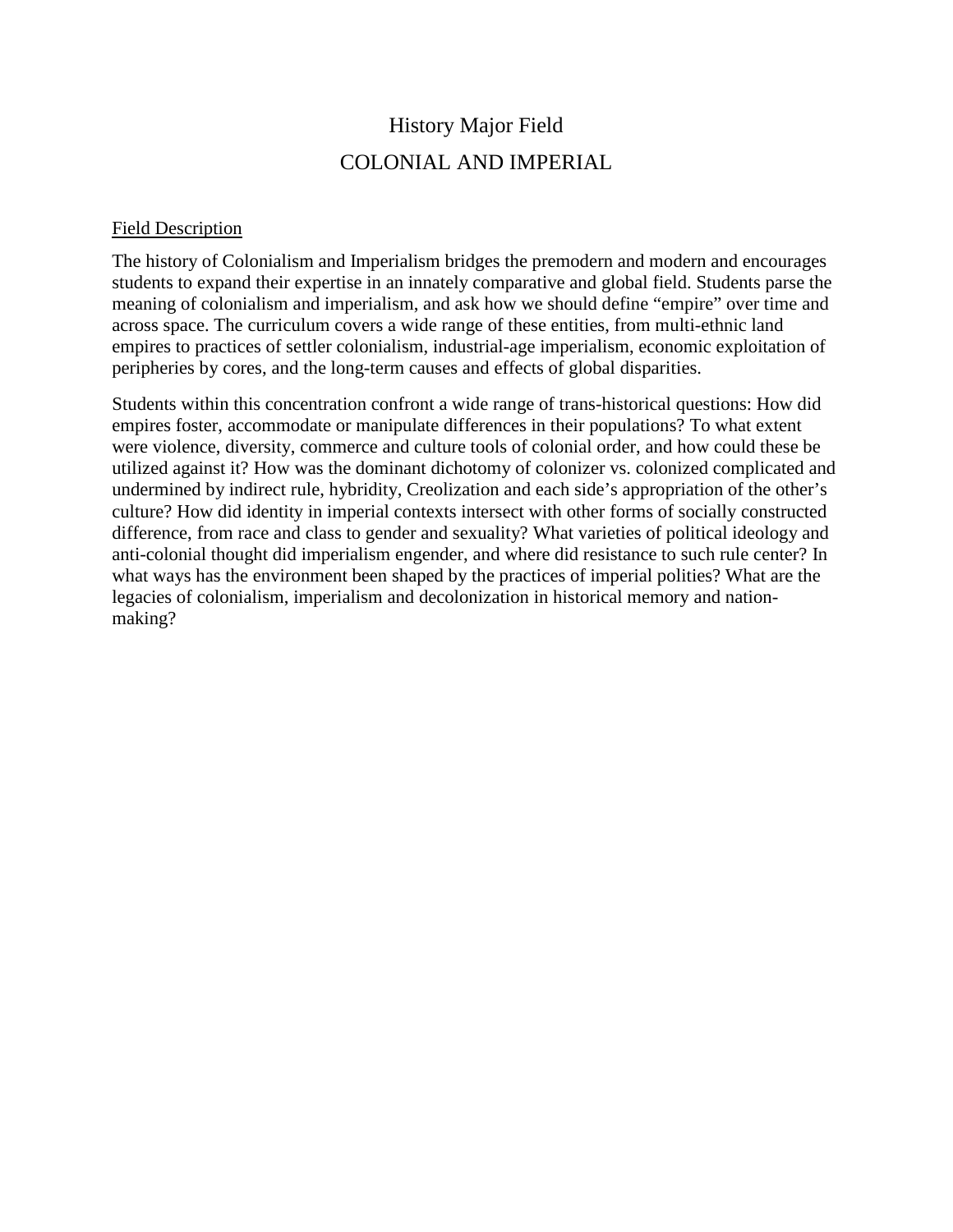## History Major Field COLONIAL AND IMPERIAL

## Field Description

The history of Colonialism and Imperialism bridges the premodern and modern and encourages students to expand their expertise in an innately comparative and global field. Students parse the meaning of colonialism and imperialism, and ask how we should define "empire" over time and across space. The curriculum covers a wide range of these entities, from multi-ethnic land empires to practices of settler colonialism, industrial-age imperialism, economic exploitation of peripheries by cores, and the long-term causes and effects of global disparities.

Students within this concentration confront a wide range of trans-historical questions: How did empires foster, accommodate or manipulate differences in their populations? To what extent were violence, diversity, commerce and culture tools of colonial order, and how could these be utilized against it? How was the dominant dichotomy of colonizer vs. colonized complicated and undermined by indirect rule, hybridity, Creolization and each side's appropriation of the other's culture? How did identity in imperial contexts intersect with other forms of socially constructed difference, from race and class to gender and sexuality? What varieties of political ideology and anti-colonial thought did imperialism engender, and where did resistance to such rule center? In what ways has the environment been shaped by the practices of imperial polities? What are the legacies of colonialism, imperialism and decolonization in historical memory and nationmaking?